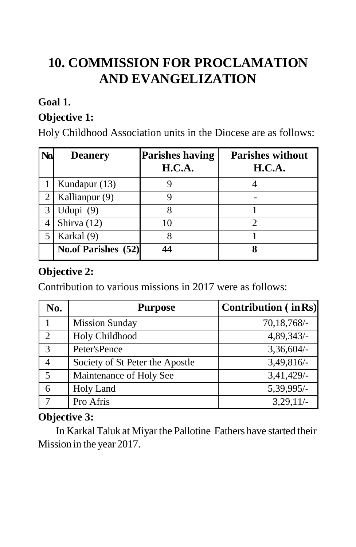# **10. COMMISSION FOR PROCLAMATION AND EVANGELIZATION**

### **Goal 1.**

## **Objective 1:**

Holy Childhood Association units in the Diocese are as follows:

| N <sub>0</sub> | <b>Deanery</b>      | <b>Parishes having</b><br><b>H.C.A.</b> | Parishes without<br>H.C.A. |
|----------------|---------------------|-----------------------------------------|----------------------------|
|                | Kundapur (13)       |                                         |                            |
|                | Kallianpur (9)      |                                         |                            |
| 3              | Udupi $(9)$         |                                         |                            |
|                | Shirva (12)         | 10                                      |                            |
| 5              | Karkal (9)          |                                         |                            |
|                | No.of Parishes (52) |                                         |                            |

#### **Objective 2:**

Contribution to various missions in 2017 were as follows:

| No.            | <b>Purpose</b>                  | <b>Contribution</b> (in Rs) |
|----------------|---------------------------------|-----------------------------|
|                | <b>Mission Sunday</b>           | 70,18,768/-                 |
| $\overline{2}$ | Holy Childhood                  | 4,89,343/-                  |
| 3              | Peter'sPence                    | $3,36,604/-$                |
| $\overline{4}$ | Society of St Peter the Apostle | 3,49,816/-                  |
| 5              | Maintenance of Holy See         | 3,41,429/-                  |
| 6              | Holy Land                       | 5,39,995/-                  |
| 7              | Pro Afris                       | 3,29,11/                    |

#### **Objective 3:**

In KarkalTaluk at Miyarthe Pallotine Fathers have started their Mission in the year 2017.